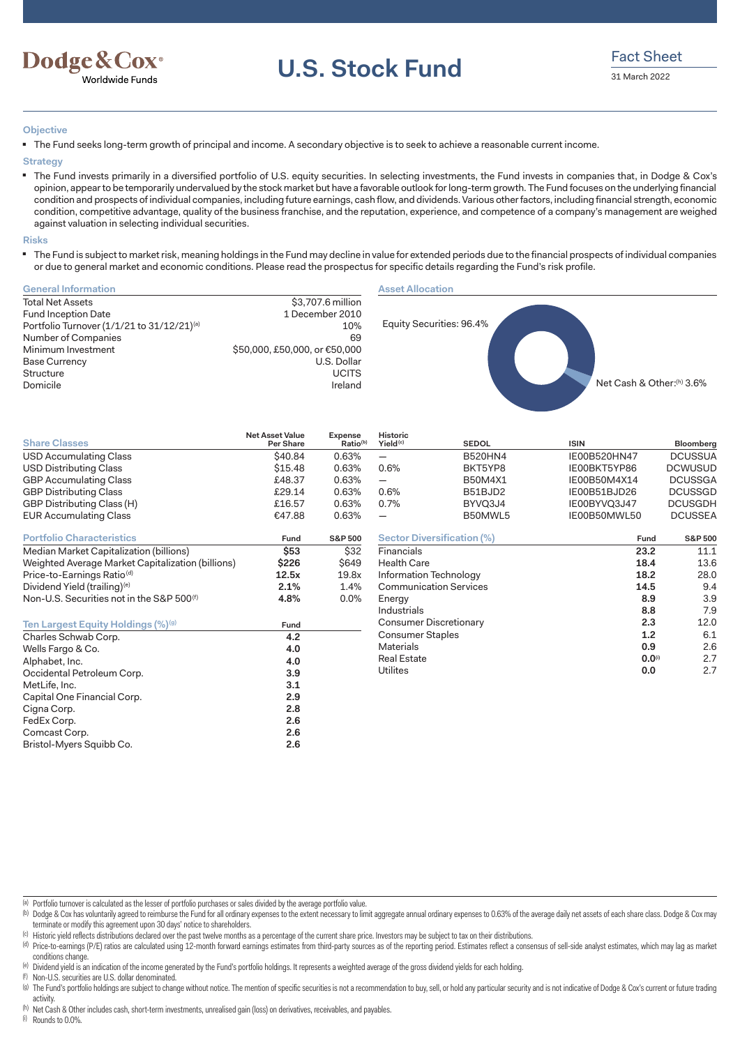

**U.S. Stock Fund** Fact Sheet

# **Objective**

■ The Fund seeks long-term growth of principal and income. A secondary objective is to seek to achieve a reasonable current income.

#### **Strategy**

■ The Fund invests primarily in a diversified portfolio of U.S. equity securities. In selecting investments, the Fund invests in companies that, in Dodge & Cox's opinion, appear to be temporarily undervalued by the stock market but have a favorable outlook for long-term growth. The Fund focuses on the underlying financial condition and prospects of individual companies, including future earnings, cash flow, and dividends. Various other factors, including financial strength, economic condition, competitive advantage, quality of the business franchise, and the reputation, experience, and competence of a company's management are weighed against valuation in selecting individual securities.

#### **Risks**

■ The Fund is subject to market risk, meaning holdings in the Fund may decline in value for extended periods due to the financial prospects of individual companies or due to general market and economic conditions. Please read the prospectus for specific details regarding the Fund's risk profile.

| <b>General Information</b>                                                                                                                                                                                           |                                                                                                                              |                                 |                                         | <b>Asset Allocation</b>           |              |                           |  |  |  |
|----------------------------------------------------------------------------------------------------------------------------------------------------------------------------------------------------------------------|------------------------------------------------------------------------------------------------------------------------------|---------------------------------|-----------------------------------------|-----------------------------------|--------------|---------------------------|--|--|--|
| <b>Total Net Assets</b><br><b>Fund Inception Date</b><br>Portfolio Turnover (1/1/21 to 31/12/21) <sup>(a)</sup><br>Number of Companies<br>Minimum Investment<br><b>Base Currency</b><br><b>Structure</b><br>Domicile | \$3,707.6 million<br>1 December 2010<br>10%<br>69<br>\$50,000, £50,000, or €50,000<br>U.S. Dollar<br><b>UCITS</b><br>Ireland |                                 |                                         | Equity Securities: 96.4%          |              | Net Cash & Other:(h) 3.6% |  |  |  |
| <b>Share Classes</b>                                                                                                                                                                                                 | <b>Net Asset Value</b><br>Per Share                                                                                          | Expense<br>Ratio <sup>(b)</sup> | <b>Historic</b><br>Yield <sup>(c)</sup> | <b>SEDOL</b>                      | <b>ISIN</b>  | Bloomberg                 |  |  |  |
| <b>USD Accumulating Class</b>                                                                                                                                                                                        | \$40.84                                                                                                                      | 0.63%                           | $\overline{\phantom{0}}$                | <b>B520HN4</b>                    | IE00B520HN47 | <b>DCUSSUA</b>            |  |  |  |
| <b>USD Distributing Class</b>                                                                                                                                                                                        | \$15.48                                                                                                                      | 0.63%                           | 0.6%                                    | BKT5YP8                           | IE00BKT5YP86 | <b>DCWUSUD</b>            |  |  |  |
| <b>GBP Accumulating Class</b>                                                                                                                                                                                        | £48.37                                                                                                                       | 0.63%                           | $\overline{\phantom{0}}$                | <b>B50M4X1</b>                    | IE00B50M4X14 | <b>DCUSSGA</b>            |  |  |  |
| <b>GBP Distributing Class</b>                                                                                                                                                                                        | £29.14                                                                                                                       | 0.63%                           | 0.6%                                    | B51BJD2                           | IE00B51BJD26 | <b>DCUSSGD</b>            |  |  |  |
| GBP Distributing Class (H)                                                                                                                                                                                           | £16.57                                                                                                                       | 0.63%                           | 0.7%                                    | BYVQ3J4                           | IE00BYVQ3J47 | <b>DCUSGDH</b>            |  |  |  |
| <b>EUR Accumulating Class</b>                                                                                                                                                                                        | €47.88                                                                                                                       | 0.63%                           |                                         | B50MWL5                           | IE00B50MWL50 | <b>DCUSSEA</b>            |  |  |  |
| <b>Portfolio Characteristics</b>                                                                                                                                                                                     | Fund                                                                                                                         | <b>S&amp;P 500</b>              |                                         | <b>Sector Diversification (%)</b> | Fund         | <b>S&amp;P 500</b>        |  |  |  |
| Median Market Capitalization (billions)                                                                                                                                                                              | \$53                                                                                                                         | \$32                            | Financials                              |                                   | 23.2         | 11.1                      |  |  |  |
| Weighted Average Market Capitalization (billions)                                                                                                                                                                    | \$226                                                                                                                        | <b>\$649</b>                    | <b>Health Care</b>                      |                                   | 18.4         | 13.6                      |  |  |  |
| Price-to-Earnings Ratio <sup>(d)</sup>                                                                                                                                                                               | 12.5x                                                                                                                        | 19.8x                           | Information Technology                  |                                   | 18.2         | 28.0                      |  |  |  |
| Dividend Yield (trailing) <sup>(e)</sup>                                                                                                                                                                             | 2.1%                                                                                                                         | 1.4%                            | <b>Communication Services</b>           |                                   | 14.5         | 9.4                       |  |  |  |
| Non-U.S. Securities not in the S&P 500 <sup>(f)</sup>                                                                                                                                                                | 4.8%                                                                                                                         | 0.0%                            | Energy                                  |                                   | 8.9          | 3.9                       |  |  |  |
|                                                                                                                                                                                                                      |                                                                                                                              |                                 | Industrials                             |                                   | 8.8          | 7.9                       |  |  |  |
| Ten Largest Equity Holdings (%) <sup>(g)</sup>                                                                                                                                                                       | Fund                                                                                                                         |                                 |                                         | Consumer Discretionary            | 2.3          | 12.0                      |  |  |  |
| Charles Schwab Corp.                                                                                                                                                                                                 | 4.2                                                                                                                          |                                 | Consumer Staples                        |                                   | 1.2          | 6.1                       |  |  |  |
| Wells Fargo & Co.                                                                                                                                                                                                    | 4.0                                                                                                                          |                                 | <b>Materials</b>                        |                                   | 0.9          | 2.6                       |  |  |  |
| Alphabet, Inc.                                                                                                                                                                                                       | 4.0                                                                                                                          |                                 | <b>Real Estate</b><br><b>Utilites</b>   |                                   | $0.0$ (i)    | 2.7<br>2.7                |  |  |  |
| Occidental Petroleum Corp.                                                                                                                                                                                           | 3.9                                                                                                                          |                                 |                                         |                                   | 0.0          |                           |  |  |  |

(a) Portfolio turnover is calculated as the lesser of portfolio purchases or sales divided by the average portfolio value.

Occidental Petroleum Corp. **3.9**

Capital One Financial Corp. **2.9**

FedEx Corp. **2.6**

Bristol-Myers Squibb Co. **2.6**

- (b) Dodge & Cox has voluntarily agreed to reimburse the Fund for all ordinary expenses to the extent necessary to limit aggregate annual ordinary expenses to 0.63% of the average daily net assets of each share class. Dodge terminate or modify this agreement upon 30 days' notice to shareholders.
- (c) Historic yield reflects distributions declared over the past twelve months as a percentage of the current share price. Investors may be subject to tax on their distributions.
- (d) Price-to-earnings (P/E) ratios are calculated using 12-month forward earnings estimates from third-party sources as of the reporting period. Estimates reflect a consensus of sell-side analyst estimates, which may lag a conditions change.
- (e) Dividend yield is an indication of the income generated by the Fund's portfolio holdings. It represents a weighted average of the gross dividend yields for each holding.
- (f) Non-U.S. securities are U.S. dollar denominated.
- (a) The Fund's portfolio holdings are subject to change without notice. The mention of specific securities is not a recommendation to buy, sell, or hold any particular security and is not indicative of Dodge & Cox's curren
- (h) Net Cash & Other includes cash, short-term investments, unrealised gain (loss) on derivatives, receivables, and payables.

(i) Rounds to 0.0%.

MetLife, Inc. **3.1**

Cigna Corp. **2.8**

Comcast Corp.